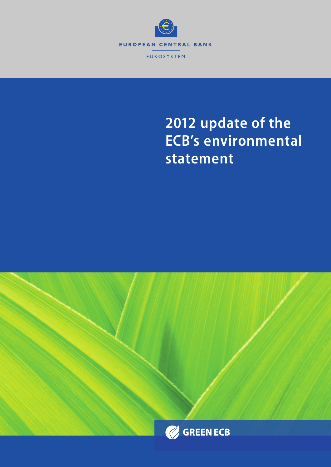

# **2012 update of the ECB's environmental statement**

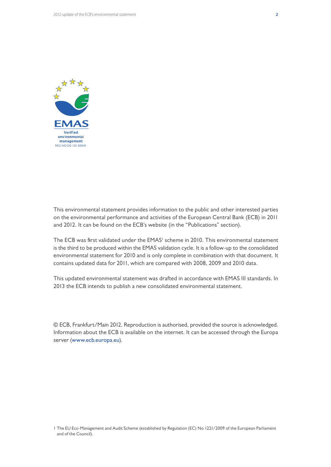

This environmental statement provides information to the public and other interested parties on the environmental performance and activities of the European Central Bank (ECB) in 2011 and 2012. It can be found on the ECB's website (in the "Publications" section).

The ECB was first validated under the EMAS<sup>I</sup> scheme in 2010. This environmental statement is the third to be produced within the EMAS validation cycle. It is a follow-up to the consolidated environmental statement for 2010 and is only complete in combination with that document. It contains updated data for 2011, which are compared with 2008, 2009 and 2010 data.

This updated environmental statement was drafted in accordance with EMAS III standards. In 2013 the ECB intends to publish a new consolidated environmental statement.

© ECB, Frankfurt/Main 2012. Reproduction is authorised, provided the source is acknowledged. Information about the ECB is available on the internet. It can be accessed through the Europa server (www.ecb.europa.eu).

<sup>1</sup> The EU Eco-Management and Audit Scheme (established by Regulation (EC) No 1221/2009 of the European Parliament and of the Council).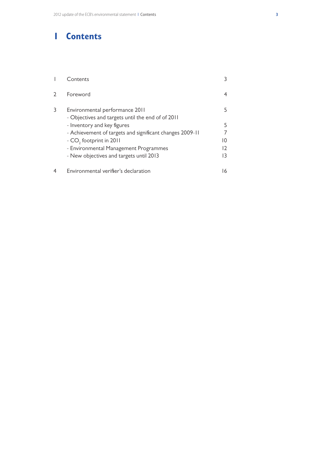# **1 Contents**

|   | $\mathop{\mathsf{Contents}}$                                                        |    |
|---|-------------------------------------------------------------------------------------|----|
|   | Foreword                                                                            |    |
| 3 | Environmental performance 2011<br>- Objectives and targets until the end of of 2011 | 5  |
|   | - Inventory and key figures                                                         | 5  |
|   | - Achievement of targets and significant changes 2009-11                            |    |
|   | - CO <sub>2</sub> footprint in 2011                                                 | 10 |
|   | - Environmental Management Programmes                                               | 12 |
|   | - New objectives and targets until 2013                                             | 13 |
|   | Environmental verifier's declaration                                                | 16 |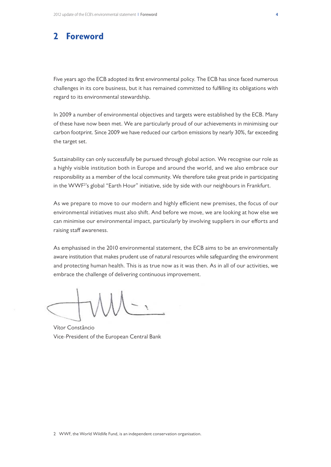## **2 Foreword**

Five years ago the ECB adopted its first environmental policy. The ECB has since faced numerous challenges in its core business, but it has remained committed to fulfilling its obligations with regard to its environmental stewardship.

In 2009 a number of environmental objectives and targets were established by the ECB. Many of these have now been met. We are particularly proud of our achievements in minimising our carbon footprint. Since 2009 we have reduced our carbon emissions by nearly 30%, far exceeding the target set.

Sustainability can only successfully be pursued through global action. We recognise our role as a highly visible institution both in Europe and around the world, and we also embrace our responsibility as a member of the local community. We therefore take great pride in participating in the WWF<sup>2</sup>'s global "Earth Hour" initiative, side by side with our neighbours in Frankfurt.

As we prepare to move to our modern and highly efficient new premises, the focus of our environmental initiatives must also shift. And before we move, we are looking at how else we can minimise our environmental impact, particularly by involving suppliers in our efforts and raising staff awareness.

As emphasised in the 2010 environmental statement, the ECB aims to be an environmentally aware institution that makes prudent use of natural resources while safeguarding the environment and protecting human health. This is as true now as it was then. As in all of our activities, we embrace the challenge of delivering continuous improvement.

VÍtor Constâncio Vice-President of the European Central Bank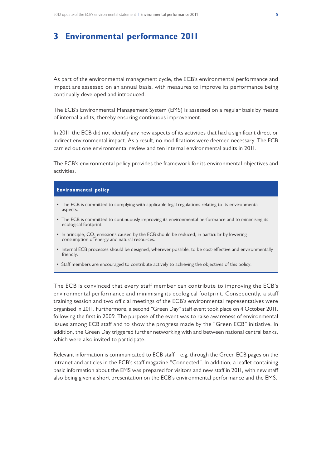# **3 Environmental performance 2011**

As part of the environmental management cycle, the ECB's environmental performance and impact are assessed on an annual basis, with measures to improve its performance being continually developed and introduced.

The ECB's Environmental Management System (EMS) is assessed on a regular basis by means of internal audits, thereby ensuring continuous improvement.

In 2011 the ECB did not identify any new aspects of its activities that had a significant direct or indirect environmental impact. As a result, no modifications were deemed necessary. The ECB carried out one environmental review and ten internal environmental audits in 2011.

The ECB's environmental policy provides the framework for its environmental objectives and activities.

#### **Environmental policy**

- The ECB is committed to complying with applicable legal regulations relating to its environmental aspects.
- The ECB is committed to continuously improving its environmental performance and to minimising its ecological footprint.
- In principle,  $\mathsf{CO}_2$  emissions caused by the ECB should be reduced, in particular by lowering consumption of energy and natural resources.
- • Internal ECB processes should be designed, wherever possible, to be cost-effective and environmentally friendly.
- • Staff members are encouraged to contribute actively to achieving the objectives of this policy.

The ECB is convinced that every staff member can contribute to improving the ECB's environmental performance and minimising its ecological footprint. Consequently, a staff training session and two official meetings of the ECB's environmental representatives were organised in 2011. Furthermore, a second "Green Day" staff event took place on 4 October 2011, following the first in 2009. The purpose of the event was to raise awareness of environmental issues among ECB staff and to show the progress made by the "Green ECB" initiative. In addition, the Green Day triggered further networking with and between national central banks, which were also invited to participate.

Relevant information is communicated to ECB staff – e.g. through the Green ECB pages on the intranet and articles in the ECB's staff magazine "Connected". In addition, a leaflet containing basic information about the EMS was prepared for visitors and new staff in 2011, with new staff also being given a short presentation on the ECB's environmental performance and the EMS.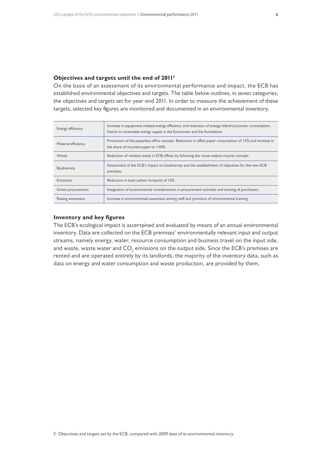#### **Objectives and targets until the end of 20113**

On the basis of an assessment of its environmental performance and impact, the ECB has established environmental objectives and targets. The table below outlines, in seven categories, the objectives and targets set for year-end 2011. In order to measure the achievement of these targets, selected key figures are monitored and documented in an environmental inventory.

| Energy efficiency   | Increase in equipment-related energy efficiency and reduction of energy/electrical power consumption.<br>Switch to renewable energy supply in the Eurotower and the Eurotheum. |
|---------------------|--------------------------------------------------------------------------------------------------------------------------------------------------------------------------------|
| Material efficiency | Promotion of the paperless office concept. Reduction in office paper consumption of 15% and increase in<br>the share of recycled paper to >50%.                                |
| Waste               | Reduction of residual waste in ECB offices by following the reuse-reduce-recycle concept.                                                                                      |
| Biodiversity        | Assessment of the ECB's impact on biodiversity and the establishment of objectives for the new ECB<br>premises.                                                                |
| Emissions           | Reduction in total carbon footprint of 15%.                                                                                                                                    |
| Green procurement   | Integration of environmental considerations in procurement activities and training of purchasers.                                                                              |
| Raising awareness   | Increase in environmental awareness among staff and provision of environmental training.                                                                                       |

#### **Inventory and key figures**

The ECB's ecological impact is ascertained and evaluated by means of an annual environmental inventory. Data are collected on the ECB premises' environmentally relevant input and output streams, namely energy, water, resource consumption and business travel on the input side, and waste, waste water and CO $_{_2}$  emissions on the output side. Since the ECB's premises are rented and are operated entirely by its landlords, the majority of the inventory data, such as data on energy and water consumption and waste production, are provided by them.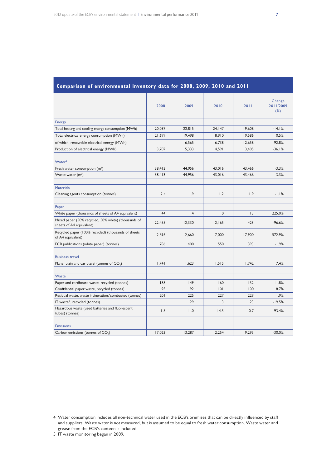| Comparison of Chvironmental inventory data for 2000, 2007, 2010 and 2011        |        |                |          |        |                            |
|---------------------------------------------------------------------------------|--------|----------------|----------|--------|----------------------------|
|                                                                                 | 2008   | 2009           | 2010     | 2011   | Change<br>2011/2009<br>(%) |
| <b>Energy</b>                                                                   |        |                |          |        |                            |
| Total heating and cooling energy consumption (MWh)                              | 20,087 | 22,815         | 24,147   | 19,608 | $-14.1%$                   |
| Total electrical energy consumption (MWh)                                       | 21,699 | 19,498         | 18,910   | 19,586 | 0.5%                       |
| of which, renewable electrical energy (MWh)                                     |        | 6,565          | 6,738    | 12,658 | 92.8%                      |
| Production of electrical energy (MWh)                                           | 3,707  | 5,333          | 4,591    | 3,405  | $-36.1%$                   |
|                                                                                 |        |                |          |        |                            |
| Water <sup>4</sup>                                                              |        |                |          |        |                            |
| Fresh water consumption $(m^3)$                                                 | 38,413 | 44,956         | 43,016   | 43,466 | $-3.3%$                    |
| Waste water $(m^3)$                                                             | 38,413 | 44,956         | 43,016   | 43,466 | $-3.3%$                    |
|                                                                                 |        |                |          |        |                            |
| <b>Materials</b>                                                                |        |                |          |        |                            |
| Cleaning agents consumption (tonnes)                                            | 2.4    | 1.9            | 1.2      | 1.9    | $-1.1%$                    |
|                                                                                 |        |                |          |        |                            |
| Paper                                                                           |        |                |          |        |                            |
| White paper (thousands of sheets of A4 equivalent)                              | 44     | $\overline{4}$ | $\Omega$ | 13     | 225.0%                     |
| Mixed paper (50% recycled, 50% white) (thousands of<br>sheets of A4 equivalent) | 22,455 | 12,330         | 2,165    | 423    | $-96.6%$                   |
| Recycled paper (100% recycled) (thousands of sheets<br>of A4 equivalent)        | 2,695  | 2,660          | 17,000   | 17,900 | 572.9%                     |
| ECB publications (white paper) (tonnes)                                         | 786    | 400            | 550      | 393    | $-1.9%$                    |
|                                                                                 |        |                |          |        |                            |
| <b>Business travel</b>                                                          |        |                |          |        |                            |
| Plane, train and car travel (tonnes of CO <sub>2</sub> )                        | 1.741  | 1.623          | 1.515    | 1.742  | 7.4%                       |
|                                                                                 |        |                |          |        |                            |
| Waste                                                                           |        |                |          |        |                            |
| Paper and cardboard waste, recycled (tonnes)                                    | 188    | 49             | 160      | 132    | $-11.8%$                   |
| Confidential paper waste, recycled (tonnes)                                     | 95     | 92             | 0        | 100    | 8.7%                       |
| Residual waste, waste incineration/combusted (tonnes)                           | 201    | 225            | 227      | 229    | 1.9%                       |
| IT waste <sup>5</sup> , recycled (tonnes)                                       |        | 29             | 3        | 23     | $-19.5%$                   |
| Hazardous waste (used batteries and fluorescent<br>tubes) (tonnes)              | 1.5    | 11.0           | 14.3     | 0.7    | $-93.4%$                   |
|                                                                                 |        |                |          |        |                            |
| <b>Emissions</b>                                                                |        |                |          |        |                            |
| Carbon emissions (tonnes of CO <sub>2</sub> )                                   | 17,023 | 13,287         | 12.254   | 9,295  | $-30.0%$                   |

#### **Comparison of environmental inventory data for 2008, 2009, 2010 and 2011**

5 IT waste monitoring began in 2009.

<sup>4</sup> Water consumption includes all non-technical water used in the ECB's premises that can be directly influenced by staff and suppliers. Waste water is not measured, but is assumed to be equal to fresh water consumption. Waste water and grease from the ECB's canteen is included.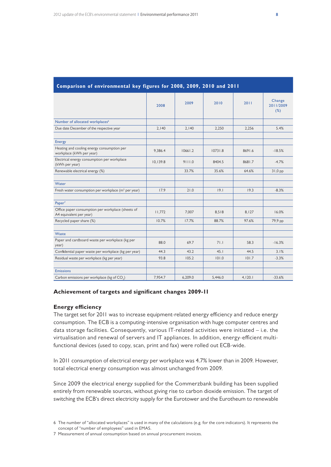|                                                                              | 2008     | 2009    | 2010    | 2011    | Change<br>2011/2009<br>(%) |
|------------------------------------------------------------------------------|----------|---------|---------|---------|----------------------------|
| Number of allocated workplaces <sup>6</sup>                                  |          |         |         |         |                            |
| Due date December of the respective year                                     | 2.140    | 2,140   | 2,250   | 2,256   | 5.4%                       |
|                                                                              |          |         |         |         |                            |
| <b>Energy</b>                                                                |          |         |         |         |                            |
| Heating and cooling energy consumption per<br>workplace (kWh per year)       | 9.386.4  | 10661.2 | 10731.8 | 8691.6  | $-18.5%$                   |
| Electrical energy consumption per workplace<br>(kWh per year)                | 10,139.8 | 9111.0  | 8404.5  | 8681.7  | $-4.7%$                    |
| Renewable electrical energy (%)                                              |          | 33.7%   | 35.6%   | 64.6%   | $31,0$ pp                  |
|                                                                              |          |         |         |         |                            |
| Water                                                                        |          |         |         |         |                            |
| Fresh water consumption per workplace (m <sup>3</sup> per year)              | 17.9     | 21.0    | 19.1    | 19.3    | $-8.3%$                    |
|                                                                              |          |         |         |         |                            |
| Paper <sup>7</sup>                                                           |          |         |         |         |                            |
| Office paper consumption per workplace (sheets of<br>A4 equivalent per year) | 11,772   | 7,007   | 8,518   | 8,127   | 16.0%                      |
| Recycled paper share (%)                                                     | 10.7%    | 17.7%   | 88.7%   | 97.6%   | 79,9 pp                    |
|                                                                              |          |         |         |         |                            |
| Waste                                                                        |          |         |         |         |                            |
| Paper and cardboard waste per workplace (kg per<br>year)                     | 88.0     | 69.7    | 71.1    | 58.3    | $-16.3%$                   |
| Confidential paper waste per workplace (kg per year)                         | 44.3     | 43.2    | 45.1    | 44.5    | 3.1%                       |
| Residual waste per workplace (kg per year)                                   | 93.8     | 105.2   | 101.0   | 101.7   | $-3.3%$                    |
|                                                                              |          |         |         |         |                            |
| <b>Emissions</b>                                                             |          |         |         |         |                            |
| Carbon emissions per workplace (kg of CO <sub>2</sub> )                      | 7,954.7  | 6,209.0 | 5.446.0 | 4,120.1 | $-33.6%$                   |

#### **Comparison of environmental key figures for 2008, 2009, 2010 and 2011**

#### **Achievement of targets and significant changes 2009-11**

#### **Energy efficiency**

The target set for 2011 was to increase equipment-related energy efficiency and reduce energy consumption. The ECB is a computing-intensive organisation with huge computer centres and data storage facilities. Consequently, various IT-related activities were initiated – i.e. the virtualisation and renewal of servers and IT appliances. In addition, energy-efficient multifunctional devices (used to copy, scan, print and fax) were rolled out ECB-wide.

In 2011 consumption of electrical energy per workplace was 4.7% lower than in 2009. However, total electrical energy consumption was almost unchanged from 2009.

Since 2009 the electrical energy supplied for the Commerzbank building has been supplied entirely from renewable sources, without giving rise to carbon dioxide emission. The target of switching the ECB's direct electricity supply for the Eurotower and the Eurotheum to renewable

6 The number of "allocated workplaces" is used in many of the calculations (e.g. for the core indicators). It represents the concept of "number of employees" used in EMAS.

7 Measurement of annual consumption based on annual procurement invoices.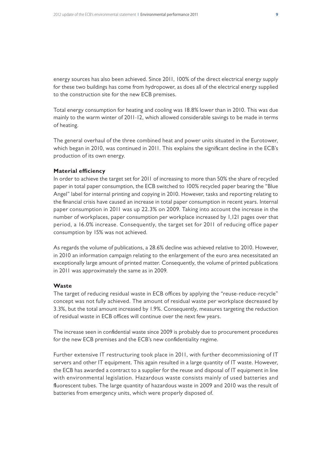energy sources has also been achieved. Since 2011, 100% of the direct electrical energy supply for these two buildings has come from hydropower, as does all of the electrical energy supplied to the construction site for the new ECB premises.

Total energy consumption for heating and cooling was 18.8% lower than in 2010. This was due mainly to the warm winter of 2011-12, which allowed considerable savings to be made in terms of heating.

The general overhaul of the three combined heat and power units situated in the Eurotower, which began in 2010, was continued in 2011. This explains the significant decline in the ECB's production of its own energy.

#### **Material efficiency**

In order to achieve the target set for 2011 of increasing to more than 50% the share of recycled paper in total paper consumption, the ECB switched to 100% recycled paper bearing the "Blue Angel" label for internal printing and copying in 2010. However, tasks and reporting relating to the financial crisis have caused an increase in total paper consumption in recent years. Internal paper consumption in 2011 was up 22.3% on 2009. Taking into account the increase in the number of workplaces, paper consumption per workplace increased by 1,121 pages over that period, a 16.0% increase. Consequently, the target set for 2011 of reducing office paper consumption by 15% was not achieved.

As regards the volume of publications, a 28.6% decline was achieved relative to 2010. However, in 2010 an information campaign relating to the enlargement of the euro area necessitated an exceptionally large amount of printed matter. Consequently, the volume of printed publications in 2011 was approximately the same as in 2009.

#### **Waste**

The target of reducing residual waste in ECB offices by applying the "reuse-reduce-recycle" concept was not fully achieved. The amount of residual waste per workplace decreased by 3.3%, but the total amount increased by 1.9%. Consequently, measures targeting the reduction of residual waste in ECB offices will continue over the next few years.

The increase seen in confidential waste since 2009 is probably due to procurement procedures for the new ECB premises and the ECB's new confidentiality regime.

Further extensive IT restructuring took place in 2011, with further decommissioning of IT servers and other IT equipment. This again resulted in a large quantity of IT waste. However, the ECB has awarded a contract to a supplier for the reuse and disposal of IT equipment in line with environmental legislation. Hazardous waste consists mainly of used batteries and fluorescent tubes. The large quantity of hazardous waste in 2009 and 2010 was the result of batteries from emergency units, which were properly disposed of.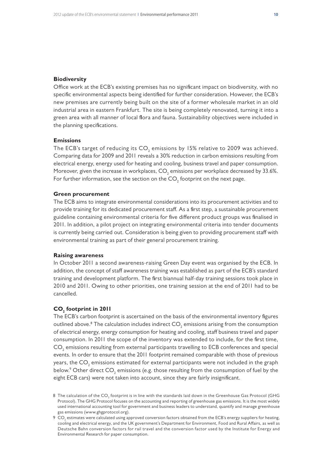#### **Biodiversity**

Office work at the ECB's existing premises has no significant impact on biodiversity, with no specific environmental aspects being identified for further consideration. However, the ECB's new premises are currently being built on the site of a former wholesale market in an old industrial area in eastern Frankfurt. The site is being completely renovated, turning it into a green area with all manner of local flora and fauna. Sustainability objectives were included in the planning specifications.

#### **Emissions**

The ECB's target of reducing its CO $_{\textrm{\tiny{2}}}$  emissions by 15% relative to 2009 was achieved. Comparing data for 2009 and 2011 reveals a 30% reduction in carbon emissions resulting from electrical energy, energy used for heating and cooling, business travel and paper consumption. Moreover, given the increase in workplaces,  $\mathsf{CO}_2$  emissions per workplace decreased by 33.6%. For further information, see the section on the  $\mathsf{CO}_2$  footprint on the next page.

#### **Green procurement**

The ECB aims to integrate environmental considerations into its procurement activities and to provide training for its dedicated procurement staff. As a first step, a sustainable procurement guideline containing environmental criteria for five different product groups was finalised in 2011. In addition, a pilot project on integrating environmental criteria into tender documents is currently being carried out. Consideration is being given to providing procurement staff with environmental training as part of their general procurement training.

#### **Raising awareness**

In October 2011 a second awareness-raising Green Day event was organised by the ECB. In addition, the concept of staff awareness training was established as part of the ECB's standard training and development platform. The first biannual half-day training sessions took place in 2010 and 2011. Owing to other priorities, one training session at the end of 2011 had to be cancelled.

### **CO2 footprint in 2011**

The ECB's carbon footprint is ascertained on the basis of the environmental inventory figures outlined above. $^8$  The calculation includes indirect CO $_{\rm 2}$  emissions arising from the consumption of electrical energy, energy consumption for heating and cooling, staff business travel and paper consumption. In 2011 the scope of the inventory was extended to include, for the first time,  $\mathsf{CO}_2$  emissions resulting from external participants travelling to ECB conferences and special events. In order to ensure that the 2011 footprint remained comparable with those of previous years, the CO $_{\textrm{\tiny{2}}}$  emissions estimated for external participants were not included in the graph below. $^{\circ}$  Other direct CO<sub>2</sub> emissions (e.g. those resulting from the consumption of fuel by the eight ECB cars) were not taken into account, since they are fairly insignificant.

 $8\,$  The calculation of the CO $_{_2}$  footprint is in line with the standards laid down in the Greenhouse Gas Protocol (GHG Protocol). The GHG Protocol focuses on the accounting and reporting of greenhouse gas emissions. It is the most widely used international accounting tool for government and business leaders to understand, quantify and manage greenhouse gas emissions (www.ghgprotocol.org).

<sup>9</sup>  $\rm CO_{2}$  estimates were calculated using approved conversion factors obtained from the ECB's energy suppliers for heating, cooling and electrical energy, and the UK government's Department for Environment, Food and Rural Affairs, as well as Deutsche Bahn conversion factors for rail travel and the conversion factor used by the Institute for Energy and Environmental Research for paper consumption.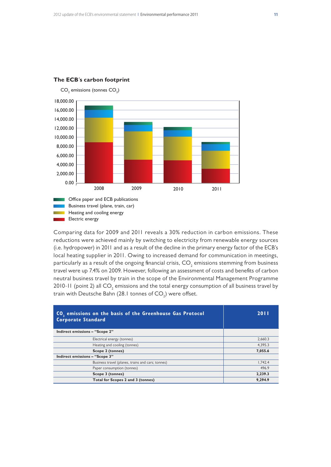

### The **ECB**'s carbon footprint

Comparing data for 2009 and 2011 reveals a 30% reduction in carbon emissions. These reductions were achieved mainly by switching to electricity from renewable energy sources (i.e. hydropower) in 2011 and as a result of the decline in the primary energy factor of the ECB's local heating supplier in 2011. Owing to increased demand for communication in meetings, particularly as a result of the ongoing financial crisis,  $\mathsf{CO}_\textsf{2}$  emissions stemming from business travel were up 7.4% on 2009. However, following an assessment of costs and benefits of carbon neutral business travel by train in the scope of the Environmental Management Programme 2010-11 (point 2) all CO $_{\textrm{\tiny{2}}}$  emissions and the total energy consumption of all business travel by train with Deutsche Bahn (28.1 tonnes of CO $_{\rm 2}$ ) were offset.

| CO <sub>2</sub> emissions on the basis of the Greenhouse Gas Protocol<br><b>Corporate Standard</b> | 2011    |
|----------------------------------------------------------------------------------------------------|---------|
| Indirect emissions - "Scope 2"                                                                     |         |
| Electrical energy (tonnes)                                                                         | 2.660.3 |
| Heating and cooling (tonnes)                                                                       | 4.395.3 |
| Scope 2 (tonnes)                                                                                   | 7,055.6 |
| Indirect emissions - "Scope 3"                                                                     |         |
| Business travel (planes, trains and cars; tonnes)                                                  | 1.742.4 |
| Paper consumption (tonnes)                                                                         | 496.9   |
| Scope 3 (tonnes)                                                                                   | 2.239.3 |
| Total for Scopes 2 and 3 (tonnes)                                                                  | 9,294.9 |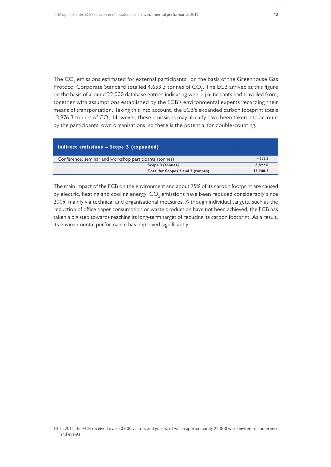The CO $_{\textrm{\tiny{\it 2}}}$  emissions estimated for external participants<sup>10</sup> on the basis of the Greenhouse Gas Protocol Corporate Standard totalled 4,653.3 tonnes of CO $_{_2}$ . The ECB arrived at this figure on the basis of around 22,000 database entries indicating where participants had travelled from, together with assumptions established by the ECB's environmental experts regarding their means of transportation. Taking this into account, the ECB's expanded carbon footprint totals 13,976.3 tonnes of  $CO_2$ . However, these emissions may already have been taken into account by the participants' own organisations, so there is the potential for double-counting.

| Indirect emissions - Scope 3 (expanded)                |          |
|--------------------------------------------------------|----------|
| Conference, seminar and workshop participants (tonnes) | 4.653.3  |
| Scope 3 (tonnes)                                       | 6.892.6  |
| Total for Scopes 2 and 3 (tonnes)                      | 13,948.2 |

The main impact of the ECB on the environment and about 75% of its carbon footprint are caused by electric, heating and cooling energy.  $\mathsf{CO}_2$  emissions have been reduced considerably since 2009, mainly via technical and organisational measures. Although individual targets, such as the reduction of office paper consumption or waste production have not been achieved, the ECB has taken a big step towards reaching its long-term target of reducing its carbon footprint. As a result, its environmental performance has improved significantly.

<sup>10</sup> In 2011, the ECB received over 50,000 visitors and guests, of which approximately 22,000 were invited to conferences and events.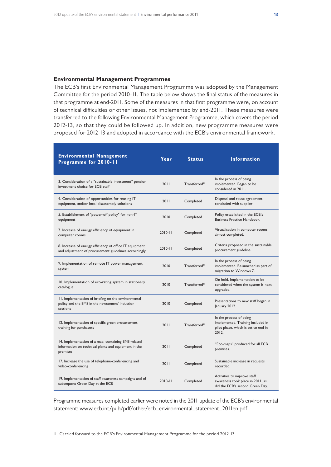#### **Environmental Management Programmes**

The ECB's first Environmental Management Programme was adopted by the Management Committee for the period 2010-11. The table below shows the final status of the measures in that programme at end-2011. Some of the measures in that first programme were, on account of technical difficulties or other issues, not implemented by end-2011. These measures were transferred to the following Environmental Management Programme, which covers the period 2012-13, so that they could be followed up. In addition, new programme measures were proposed for 2012-13 and adopted in accordance with the ECB's environmental framework.

| <b>Environmental Management</b><br>Programme for 2010-11                                                                | Year        | <b>Status</b>             | <b>Information</b>                                                                                           |
|-------------------------------------------------------------------------------------------------------------------------|-------------|---------------------------|--------------------------------------------------------------------------------------------------------------|
| 3. Consideration of a "sustainable investment" pension<br>investment choice for ECB staff                               | 2011        | Transferred <sup>11</sup> | In the process of being<br>implemented. Began to be<br>considered in 2011.                                   |
| 4. Consideration of opportunities for reusing IT<br>equipment, and/or local disassembly solutions                       | 2011        | Completed                 | Disposal and reuse agreement<br>concluded with supplier.                                                     |
| 5. Establishment of "power-off policy" for non-IT<br>equipment                                                          | 2010        | Completed                 | Policy established in the ECB's<br>Business Practice Handbook.                                               |
| 7. Increase of energy efficiency of equipment in<br>computer rooms                                                      | $2010 - 11$ | Completed                 | Virtualisation in computer rooms<br>almost completed.                                                        |
| 8. Increase of energy efficiency of office IT equipment<br>and adjustment of procurement guidelines accordingly         | $2010 - 11$ | Completed                 | Criteria proposed in the sustainable<br>procurement guideline.                                               |
| 9. Implementation of remote IT power management<br>system                                                               | 2010        | Transferred <sup>11</sup> | In the process of being<br>implemented. Relaunched as part of<br>migration to Windows 7.                     |
| 10. Implementation of eco-rating system in stationery<br>catalogue                                                      | 2010        | Transferred <sup>11</sup> | On hold. Implementation to be<br>considered when the system is next<br>upgraded.                             |
| 11. Implementation of briefing on the environmental<br>policy and the EMS in the newcomers' induction<br>sessions       | 2010        | Completed                 | Presentations to new staff began in<br>January 2012.                                                         |
| 12. Implementation of specific green procurement<br>training for purchasers                                             | 2011        | Transferred <sup>11</sup> | In the process of being<br>implemented. Training included in<br>pilot phase, which is set to end in<br>2012. |
| 14. Implementation of a map, containing EMS-related<br>information on technical plants and equipment in the<br>premises | 2011        | Completed                 | "Eco-maps" produced for all ECB<br>premises.                                                                 |
| 17. Increase the use of telephone-conferencing and<br>video-conferencing                                                | 2011        | Completed                 | Sustainable increase in requests<br>recorded.                                                                |
| 19. Implementation of staff awareness campaigns and of<br>subsequent Green Day at the ECB                               | $2010 - 11$ | Completed                 | Activities to improve staff<br>awareness took place in 2011, as<br>did the ECB's second Green Day.           |

Programme measures completed earlier were noted in the 2011 update of the ECB's environmental statement: www.ecb.int/pub/pdf/other/ecb\_environmental\_statement\_2011en.pdf

11 Carried forward to the ECB's Environmental Management Programme for the period 2012-13.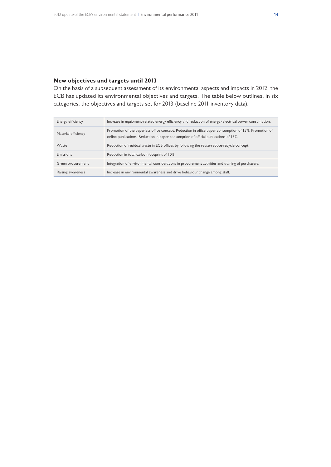#### **New objectives and targets until 2013**

On the basis of a subsequent assessment of its environmental aspects and impacts in 2012, the ECB has updated its environmental objectives and targets. The table below outlines, in six categories, the objectives and targets set for 2013 (baseline 2011 inventory data).

| Energy efficiency   | Increase in equipment-related energy efficiency and reduction of energy/electrical power consumption.                                                                                         |
|---------------------|-----------------------------------------------------------------------------------------------------------------------------------------------------------------------------------------------|
| Material efficiency | Promotion of the paperless office concept. Reduction in office paper consumption of 15%. Promotion of<br>online publications. Reduction in paper consumption of official publications of 15%. |
| Waste               | Reduction of residual waste in ECB offices by following the reuse-reduce-recycle concept.                                                                                                     |
| Emissions           | Reduction in total carbon footprint of 10%.                                                                                                                                                   |
| Green procurement   | Integration of environmental considerations in procurement activities and training of purchasers.                                                                                             |
| Raising awareness   | Increase in environmental awareness and drive behaviour change among staff.                                                                                                                   |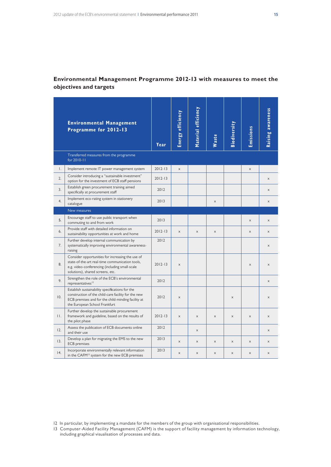### **Environmental Management Programme 2012-13 with measures to meet the objectives and targets**

|               | <b>Environmental Management</b><br>Programme for 2012-13                                                                                                                                      | Year        | Energy efficiency         | Material efficiency       | Waste                 | Biodiversity          | Emissions | Raising awareness         |
|---------------|-----------------------------------------------------------------------------------------------------------------------------------------------------------------------------------------------|-------------|---------------------------|---------------------------|-----------------------|-----------------------|-----------|---------------------------|
|               | Transferred measures from the programme<br>for 2010-11                                                                                                                                        |             |                           |                           |                       |                       |           |                           |
| $\mathsf{L}$  | Implement remote IT power management system                                                                                                                                                   | $2012 - 13$ | $\times$                  |                           |                       |                       | $\times$  |                           |
| 2.            | Consider introducing a "sustainable investment"<br>option for the investment of ECB staff pensions                                                                                            | $2012 - 13$ |                           |                           |                       |                       |           | $\boldsymbol{\mathsf{X}}$ |
| 3.            | Establish green procurement training aimed<br>specifically at procurement staff                                                                                                               | 2012        |                           |                           |                       |                       |           | X                         |
| 4.            | Implement eco-rating system in stationery<br>catalogue                                                                                                                                        | 2013        |                           |                           | $\boldsymbol{\times}$ |                       |           | $\boldsymbol{\times}$     |
|               | New measures                                                                                                                                                                                  |             |                           |                           |                       |                       |           |                           |
| 5.            | Encourage staff to use public transport when<br>commuting to and from work                                                                                                                    | 2013        |                           |                           |                       |                       | $\times$  | $\times$                  |
| 6.            | Provide staff with detailed information on<br>sustainability opportunities at work and home                                                                                                   | $2012 - 13$ | $\times$                  | $\times$                  | $\times$              |                       | $\times$  | $\times$                  |
| 7.            | Further develop internal communication by<br>systematically improving environmental awareness-<br>raising                                                                                     | 2012        |                           |                           |                       |                       |           | $\times$                  |
| 8.            | Consider opportunities for increasing the use of<br>state-of-the-art real-time communication tools,<br>e.g. video-conferencing (including small-scale<br>solutions), shared screens, etc.     | $2012 - 13$ | $\times$                  |                           |                       |                       | $\times$  | $\times$                  |
| 9.            | Strengthen the role of the ECB's environmental<br>representatives <sup>12</sup>                                                                                                               | 2012        |                           |                           |                       |                       |           | $\times$                  |
| 10.           | Establish sustainability specifications for the<br>construction of the child-care facility for the new<br>ECB premises and for the child-minding facility at<br>the European School Frankfurt | 2012        | $\times$                  |                           |                       | $\times$              |           | $\times$                  |
| $\mathsf{H}.$ | Further develop the sustainable procurement<br>framework and guideline, based on the results of<br>the pilot phase                                                                            | $2012 - 13$ | $\boldsymbol{\mathsf{X}}$ | $\boldsymbol{\mathsf{X}}$ | $\boldsymbol{\times}$ | $\boldsymbol{\times}$ | $\times$  | $\boldsymbol{\times}$     |
| 12.           | Assess the publication of ECB documents online<br>and their use                                                                                                                               | 2012        |                           | $\times$                  |                       |                       |           | $\times$                  |
| 13.           | Develop a plan for migrating the EMS to the new<br><b>ECB</b> premises                                                                                                                        | 2013        | $\times$                  | $\boldsymbol{\mathsf{X}}$ | $\boldsymbol{\times}$ | $\boldsymbol{\times}$ | $\times$  | $\boldsymbol{\times}$     |
| 4.            | Incorporate environmentally relevant information<br>in the CAFM <sup>13</sup> system for the new ECB premises                                                                                 | 2013        | $\boldsymbol{\mathsf{X}}$ | $\times$                  | $\times$              | $\times$              | $\times$  | $\boldsymbol{\times}$     |

12 In particular, by implementing a mandate for the members of the group with organisational responsibilities.

13 Computer-Aided Facility Management (CAFM) is the support of facility management by information technology, including graphical visualisation of processes and data.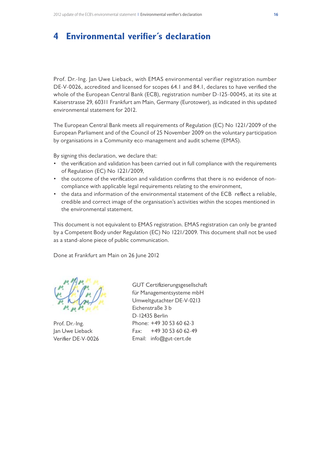# **4 Environmental verifier´s declaration**

Prof. Dr.-Ing. Jan Uwe Lieback, with EMAS environmental verifier registration number DE-V-0026, accredited and licensed for scopes 64.1 and 84.1, declares to have verified the whole of the European Central Bank (ECB), registration number D-125-00045, at its site at Kaiserstrasse 29, 60311 Frankfurt am Main, Germany (Eurotower), as indicated in this updated environmental statement for 2012.

The European Central Bank meets all requirements of Regulation (EC) No 1221/2009 of the European Parliament and of the Council of 25 November 2009 on the voluntary participation by organisations in a Community eco-management and audit scheme (EMAS).

By signing this declaration, we declare that:

- the verification and validation has been carried out in full compliance with the requirements of Regulation (EC) No 1221/2009,
- • the outcome of the verification and validation confirms that there is no evidence of noncompliance with applicable legal requirements relating to the environment,
- the data and information of the environmental statement of the ECB reflect a reliable, credible and correct image of the organisation's activities within the scopes mentioned in the environmental statement.

This document is not equivalent to EMAS registration. EMAS registration can only be granted by a Competent Body under Regulation (EC) No 1221/2009. This document shall not be used as a stand-alone piece of public communication.

Done at Frankfurt am Main on 26 June 2012

Prof. Dr.-Ing. Jan Uwe Lieback Verifier DE-V-0026

GUT Certifizierungsgesellschaft für Managementsysteme mbH Umweltgutachter DE-V-0213 Eichenstraße 3 b D-12435 Berlin Phone: +49 30 53 60 62-3 Fax: +49 30 53 60 62-49 Email: info@gut-cert.de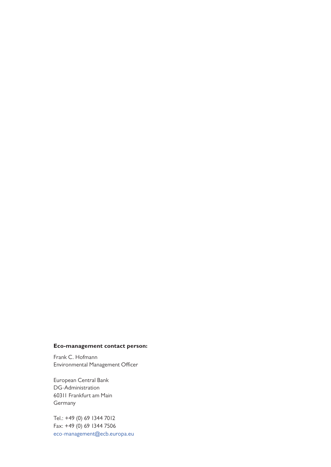### **Eco-management contact person:**

Frank C. Hofmann Environmental Management Officer

European Central Bank DG-Administration 60311 Frankfurt am Main Germany

Tel.: +49 (0) 69 1344 7012 Fax: +49 (0) 69 1344 7506 eco-management@ecb.europa.eu